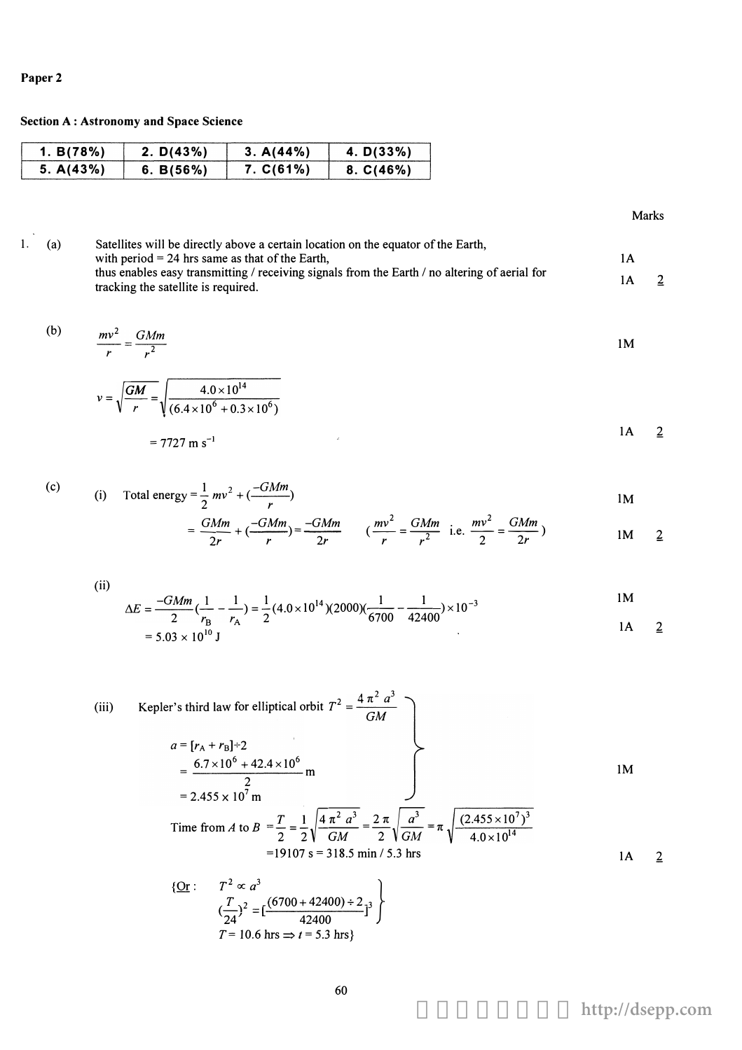## Paper<sub>2</sub>

**Section A: Astronomy and Space Science** 

| 1. B(78%) | 2. D(43%) | 3. A(44%) | 4. D(33%) |
|-----------|-----------|-----------|-----------|
| 5. A(43%) | 6. B(56%) | 7. C(61%) | 8. C(46%) |

Marks

 $1.$  (a) Satellites will be directly above a certain location on the equator of the Earth, with period = 24 hrs same as that of the Earth,  $1A$ thus enables easy transmitting / receiving signals from the Earth / no altering of aerial for  $1A$  $\overline{2}$ tracking the satellite is required.

$$
\frac{mv^2}{r} = \frac{GMm}{r^2}
$$
 1M

$$
v = \sqrt{\frac{GM}{r}} = \sqrt{\frac{4.0 \times 10^{14}}{(6.4 \times 10^6 + 0.3 \times 10^6)}}
$$
  
= 7727 m s<sup>-1</sup>

(c) (i) Total energy 
$$
=\frac{1}{2}mv^2 + \left(\frac{-GMm}{r}\right)
$$
  
 $=\frac{GMm}{r} - \frac{GMm}{r} - \frac{GMm}{r} \left(\frac{mv^2}{r} - \frac{GMm}{r}\right)$ 

$$
= \frac{GMm}{2r} + (\frac{-GMm}{r}) = \frac{-GMm}{2r} \qquad (\frac{mv^2}{r} = \frac{GMm}{r^2}) \qquad \text{i.e. } \frac{mv^2}{2} = \frac{GMm}{2r} )
$$

(ii)  
\n
$$
\Delta E = \frac{-GMm}{2} \left( \frac{1}{r_B} - \frac{1}{r_A} \right) = \frac{1}{2} (4.0 \times 10^{14}) (2000) \left( \frac{1}{6700} - \frac{1}{42400} \right) \times 10^{-3}
$$
\n
$$
= 5.03 \times 10^{10} \text{ J}
$$

(iii) Kepler's third law for elliptical orbit 
$$
T^2 = \frac{4 \pi^2 a^3}{GM}
$$
  
\n $a = [r_A + r_B] \div 2$   
\n $= \frac{6.7 \times 10^6 + 42.4 \times 10^6}{2} \text{ m}$   
\n $= 2.455 \times 10^7 \text{ m}$   
\nTime from *A* to  $B = \frac{T}{2} = \frac{1}{2} \sqrt{\frac{4 \pi^2 a^3}{GM}} = \frac{2 \pi}{2} \sqrt{\frac{a^3}{GM}} = \pi \sqrt{\frac{(2.455 \times 10^7)^3}{4.0 \times 10^{14}}}$   
\n $= 19107 \text{ s} = 318.5 \text{ min} / 5.3 \text{ hrs}$   
\n ${\text{Or}: T^2 \propto a^3}$ 

$$
\frac{2r}{24} : T^2 \propto a^3
$$
  
\n
$$
(\frac{T}{24})^2 = [\frac{(6700 + 42400) \div 2}{42400}]^3
$$
  
\n
$$
T = 10.6 \text{ hrs} \implies t = 5.3 \text{ hrs}
$$

 $\overline{2}$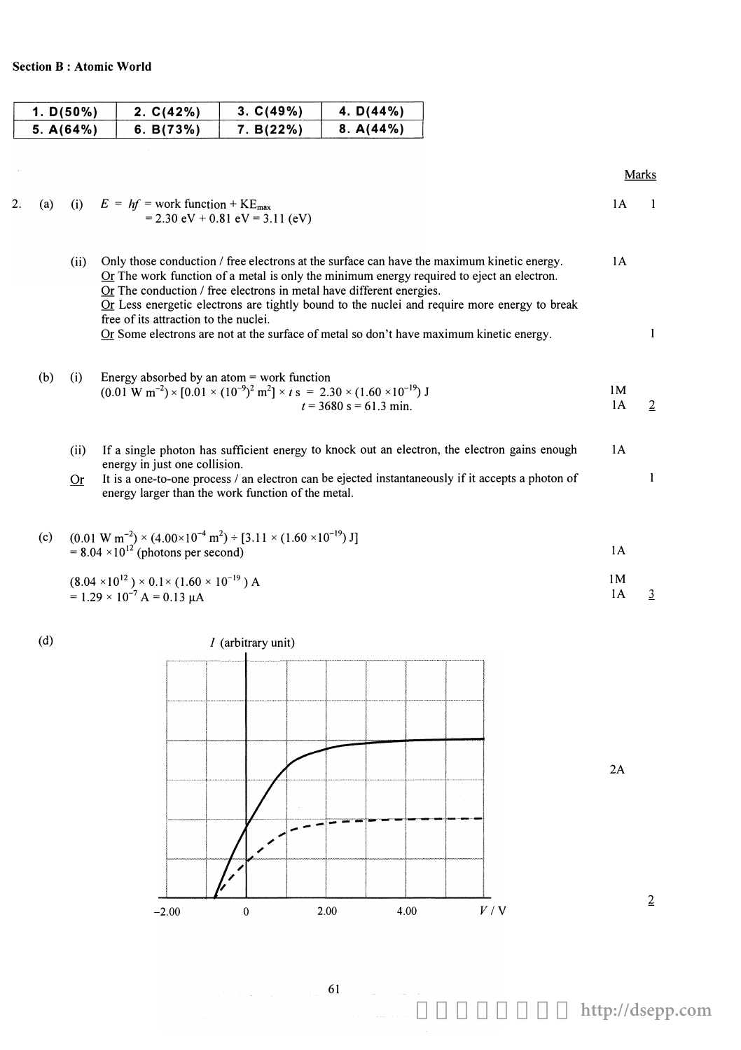$\mathcal{L}$ 

| 1. D(50%) | 2. C(42%) | 3. C(49%) | 4. $D(44%)$ |
|-----------|-----------|-----------|-------------|
| 5. A(64%) | 6. B(73%) | 7. B(22%) | 8. A(44%)   |

Marks

| 2. | (a) |            | (i) $E = hf = work$ function + $KE_{max}$<br>$= 2.30$ eV + 0.81 eV = 3.11 (eV)                                                                                                                                                                                                                                                                                                                                                                                                                          | 1A                         |                |
|----|-----|------------|---------------------------------------------------------------------------------------------------------------------------------------------------------------------------------------------------------------------------------------------------------------------------------------------------------------------------------------------------------------------------------------------------------------------------------------------------------------------------------------------------------|----------------------------|----------------|
|    |     | (ii)       | Only those conduction / free electrons at the surface can have the maximum kinetic energy.<br>$OI$ The work function of a metal is only the minimum energy required to eject an electron.<br>$Or$ The conduction / free electrons in metal have different energies.<br>Or Less energetic electrons are tightly bound to the nuclei and require more energy to break<br>free of its attraction to the nuclei.<br>Or Some electrons are not at the surface of metal so don't have maximum kinetic energy. | 1A                         | 1              |
|    | (b) | (i)        | Energy absorbed by an atom $=$ work function<br>$(0.01 \text{ W m}^{-2}) \times [0.01 \times (10^{-9})^2 \text{ m}^2] \times t \text{ s} = 2.30 \times (1.60 \times 10^{-19}) \text{ J}$<br>$t = 3680$ s = 61.3 min.                                                                                                                                                                                                                                                                                    | 1M<br>1A                   | $\overline{2}$ |
|    |     | (ii)<br>0r | If a single photon has sufficient energy to knock out an electron, the electron gains enough<br>energy in just one collision.<br>It is a one-to-one process / an electron can be ejected instantaneously if it accepts a photon of<br>energy larger than the work function of the metal.                                                                                                                                                                                                                | 1A                         | 1              |
|    | (c) |            | $(0.01 \text{ W m}^{-2}) \times (4.00 \times 10^{-4} \text{ m}^2) \div [3.11 \times (1.60 \times 10^{-19}) \text{ J}]$<br>$= 8.04 \times 10^{12}$ (photons per second)<br>$(8.04 \times 10^{12}) \times 0.1 \times (1.60 \times 10^{-19})$ A<br>$= 1.29 \times 10^{-7}$ A = 0.13 µA                                                                                                                                                                                                                     | 1A<br>1 <sub>M</sub><br>1A | 3              |
|    |     |            |                                                                                                                                                                                                                                                                                                                                                                                                                                                                                                         |                            |                |



2A

61

 $\label{eq:2.1} \frac{1}{2} \left( \frac{1}{2} \left( \frac{1}{2} \right) \right) \left( \frac{1}{2} \left( \frac{1}{2} \right) \right) \left( \frac{1}{2} \left( \frac{1}{2} \right) \right) \left( \frac{1}{2} \right) \left( \frac{1}{2} \right)$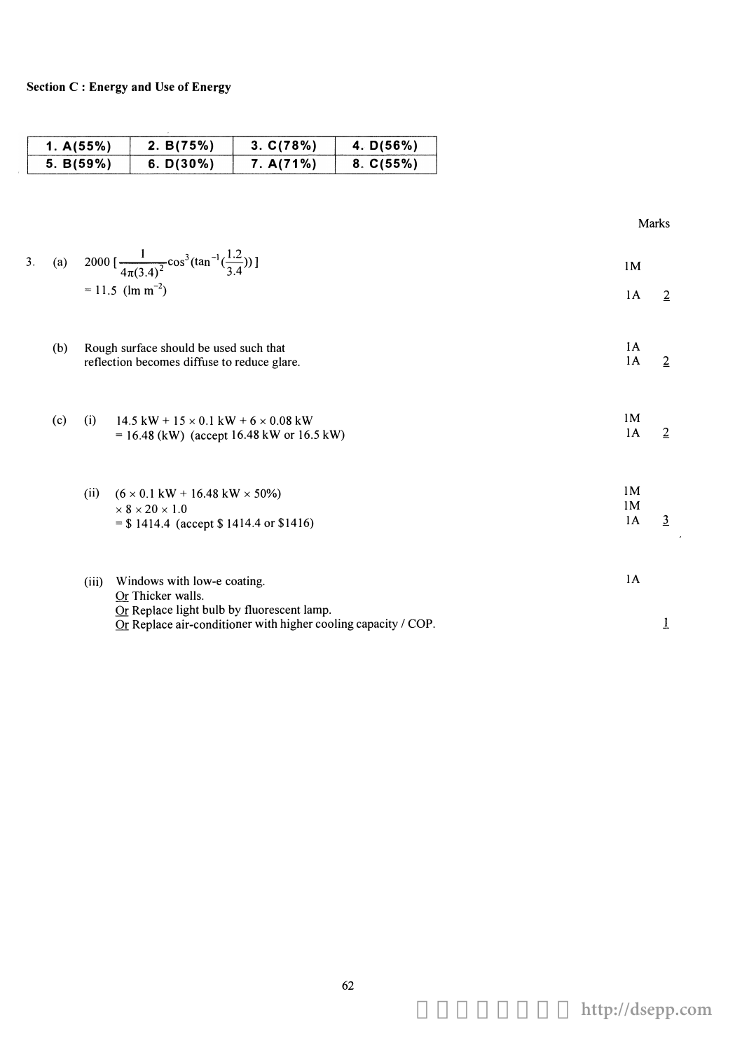| 1. $A(55%)$ | 2. $B(75%)$  | 3. C(78%) | 4. $D(56%)$ |
|-------------|--------------|-----------|-------------|
| 5. B(59%)   | 6. $D(30\%)$ | 7. A(71%) | 8. C(55%)   |

|    |     |       |                                                                                                                                                                  |                                        | <b>Marks</b>   |
|----|-----|-------|------------------------------------------------------------------------------------------------------------------------------------------------------------------|----------------------------------------|----------------|
| 3. |     |       | (a) $2000 \left[ \frac{1}{4\pi (3.4)^2} \cos^3(\tan^{-1}(\frac{1.2}{3.4})) \right]$<br>$= 11.5$ (lm m <sup>-2</sup> )                                            | 1 <sub>M</sub>                         |                |
|    |     |       |                                                                                                                                                                  | 1A                                     | $\overline{2}$ |
|    | (b) |       | Rough surface should be used such that<br>reflection becomes diffuse to reduce glare.                                                                            | 1A<br>1A                               | $\overline{2}$ |
|    | (c) | (i)   | $14.5$ kW + $15 \times 0.1$ kW + $6 \times 0.08$ kW<br>$= 16.48$ (kW) (accept 16.48 kW or 16.5 kW)                                                               | 1M<br>1A                               | $\overline{2}$ |
|    |     | (ii)  | $(6 \times 0.1 \text{ kW} + 16.48 \text{ kW} \times 50\%)$<br>$\times$ 8 $\times$ 20 $\times$ 1.0<br>$=$ \$ 1414.4 (accept \$ 1414.4 or \$1416)                  | 1 <sub>M</sub><br>1 <sub>M</sub><br>1A | $\overline{3}$ |
|    |     | (iii) | Windows with low-e coating.<br>Or Thicker walls.<br>Or Replace light bulb by fluorescent lamp.<br>Or Replace air-conditioner with higher cooling capacity / COP. | 1A                                     | 1              |